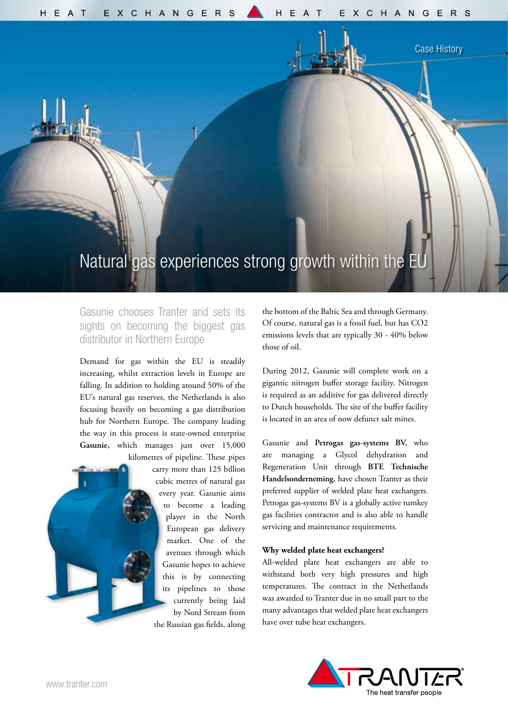$H/\langle E \rangle / A$  T  $\sqrt{E}/X / C$   $/H$   $\sqrt{A} / N / G$   $\sqrt{E} / R / S$   $\sqrt{A}$   $\sqrt{H} / E / A / T$   $\sqrt{I} / E / X / C$   $/H / A$  N  $G/\langle E \rangle / R / S$ 

## Natural gas experiences strong growth within the E

Gasunie chooses Tranter and sets its sights on becoming the biggest gas distributor in Northern Europe

Demand for gas within the EU is steadily increasing, whilst extraction levels in Europe are falling. In addition to holding around 50% of the EU's natural gas reserves, the Netherlands is also focusing heavily on becoming a gas distribution hub for Northern Europe. The company leading the way in this process is state-owned enterprise **Gasunie,** which manages just over 15,000

> kilometres of pipeline. These pipes carry more than 125 billion cubic metres of natural gas every year. Gasunie aims to become a leading player in the North European gas delivery market. One of the avenues through which Gasunie hopes to achieve this is by connecting its pipelines to those currently being laid by Nord Stream from the Russian gas fields, along

the bottom of the Baltic Sea and through Germany. Of course, natural gas is a fossil fuel, but has CO2 emissions levels that are typically 30 - 40% below those of oil.

Case History

During 2012, Gasunie will complete work on a gigantic nitrogen buffer storage facility. Nitrogen is required as an additive for gas delivered directly to Dutch households. The site of the buffer facility is located in an area of now defunct salt mines.

Gasunie and **Petrogas gas-systems BV,** who are managing a Glycol dehydration and Regeneration Unit through **BTE Technische Handelsonderneming**, have chosen Tranter as their preferred supplier of welded plate heat exchangers. Petrogas gas-systems BV is a globally active turnkey gas facilities contractor and is also able to handle servicing and maintenance requirements.

## **Why welded plate heat exchangers?**

All-welded plate heat exchangers are able to withstand both very high pressures and high temperatures. The contract in the Netherlands was awarded to Tranter due in no small part to the many advantages that welded plate heat exchangers have over tube heat exchangers.